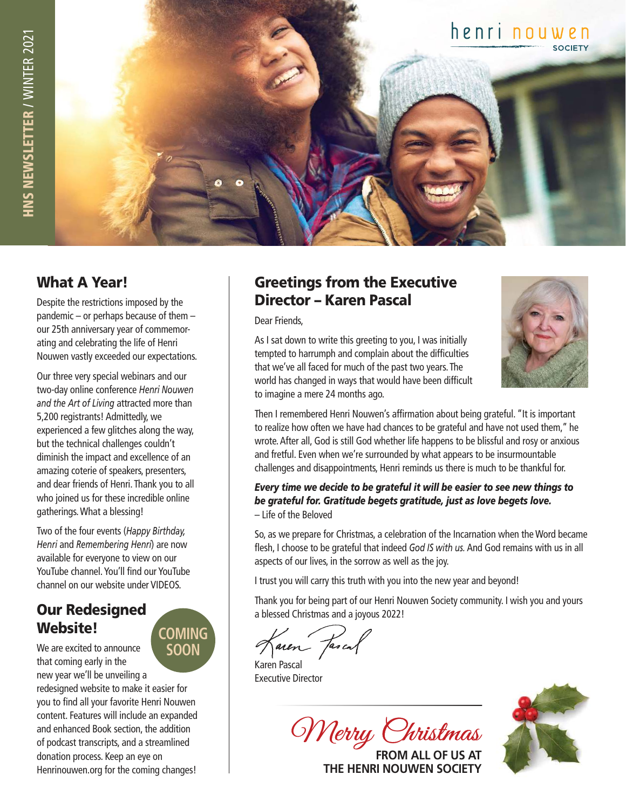

### What A Year!

Despite the restrictions imposed by the pandemic – or perhaps because of them – our 25th anniversary year of commemorating and celebrating the life of Henri Nouwen vastly exceeded our expectations.

Our three very special webinars and our two-day online conference *Henri Nouwen and the Art of Living* attracted more than 5,200 registrants! Admittedly, we experienced a few glitches along the way, but the technical challenges couldn't diminish the impact and excellence of an amazing coterie of speakers, presenters, and dear friends of Henri. Thank you to all who joined us for these incredible online gatherings. What a blessing!

Two of the four events (*Happy Birthday, Henri* and *Remembering Henri*) are now available for everyone to view on our YouTube channel. You'll find our YouTube channel on our website under VIDEOS.

**COMING**

## Our Redesigned Website!

We are excited to announce that coming early in the new year we'll be unveiling a redesigned website to make it easier for you to find all your favorite Henri Nouwen content. Features will include an expanded and enhanced Book section, the addition of podcast transcripts, and a streamlined donation process. Keep an eye on Henrinouwen.org for the coming changes! **SOON**

### Greetings from the Executive Director – Karen Pascal

Dear Friends,



As I sat down to write this greeting to you, I was initially tempted to harrumph and complain about the difficulties that we've all faced for much of the past two years. The world has changed in ways that would have been difficult to imagine a mere 24 months ago.

Then I remembered Henri Nouwen's affirmation about being grateful. "It is important to realize how often we have had chances to be grateful and have not used them," he wrote. After all, God is still God whether life happens to be blissful and rosy or anxious and fretful. Even when we're surrounded by what appears to be insurmountable challenges and disappointments, Henri reminds us there is much to be thankful for.

#### *Every time we decide to be grateful it will be easier to see new things to be grateful for. Gratitude begets gratitude, just as love begets love.* – Life of the Beloved

So, as we prepare for Christmas, a celebration of the Incarnation when the Word became flesh, I choose to be grateful that indeed *God IS with us.* And God remains with us in all aspects of our lives, in the sorrow as well as the joy.

I trust you will carry this truth with you into the new year and beyond!

Thank you for being part of our Henri Nouwen Society community. I wish you and yours a blessed Christmas and a joyous 2022!

aren Jascal

Karen Pascal Executive Director

Merry Christmas

**FROM ALL OF US AT THE HENRI NOUWEN SOCIETY**